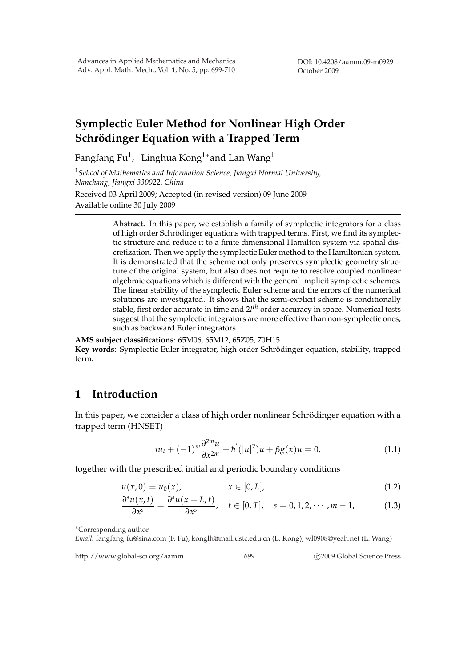# **Symplectic Euler Method for Nonlinear High Order Schrödinger Equation with a Trapped Term**

Fangfang Fu $^1\!,\,$  Linghua Kong $^{1*}$ and Lan Wang $^1$ 

<sup>1</sup>*School of Mathematics and Information Science, Jiangxi Normal University, Nanchang, Jiangxi 330022, China* Received 03 April 2009; Accepted (in revised version) 09 June 2009

Available online 30 July 2009

**Abstract.** In this paper, we establish a family of symplectic integrators for a class of high order Schrodinger equations with trapped terms. First, we find its symplec- ¨ tic structure and reduce it to a finite dimensional Hamilton system via spatial discretization. Then we apply the symplectic Euler method to the Hamiltonian system. It is demonstrated that the scheme not only preserves symplectic geometry structure of the original system, but also does not require to resolve coupled nonlinear algebraic equations which is different with the general implicit symplectic schemes. The linear stability of the symplectic Euler scheme and the errors of the numerical solutions are investigated. It shows that the semi-explicit scheme is conditionally stable, first order accurate in time and 2*l th* order accuracy in space. Numerical tests suggest that the symplectic integrators are more effective than non-symplectic ones, such as backward Euler integrators.

**AMS subject classifications**: 65M06, 65M12, 65Z05, 70H15 Key words: Symplectic Euler integrator, high order Schrödinger equation, stability, trapped term.

# **1 Introduction**

In this paper, we consider a class of high order nonlinear Schrödinger equation with a trapped term (HNSET)

$$
iu_t + (-1)^m \frac{\partial^{2m} u}{\partial x^{2m}} + \hbar'(|u|^2)u + \beta g(x)u = 0,
$$
\n(1.1)

together with the prescribed initial and periodic boundary conditions

$$
u(x,0) = u_0(x), \qquad x \in [0,L], \qquad (1.2)
$$

$$
\frac{\partial^s u(x,t)}{\partial x^s} = \frac{\partial^s u(x+L,t)}{\partial x^s}, \quad t \in [0,T], \quad s = 0, 1, 2, \cdots, m-1,
$$
 (1.3)

<sup>∗</sup>Corresponding author.

*Email:* fangfang fu@sina.com (F. Fu), konglh@mail.ustc.edu.cn (L. Kong), wl0908@yeah.net (L. Wang)

http://www.global-sci.org/aamm 699 699 62009 Global Science Press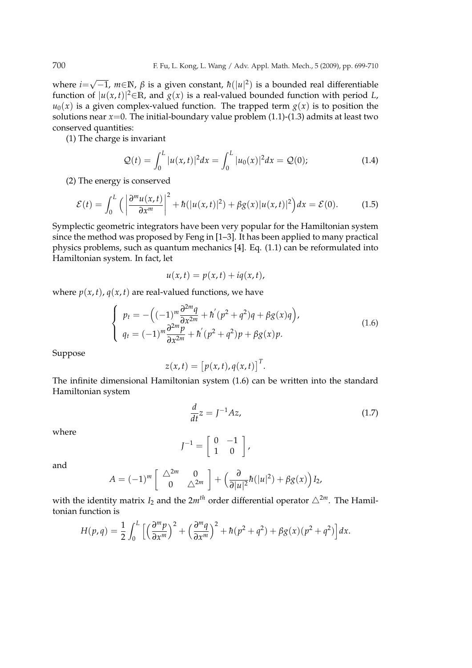where *i*= √  $\overline{-1}$ ,  $m \in \mathbb{N}$ ,  $\beta$  is a given constant,  $\hbar(|u|^2)$  is a bounded real differentiable function of  $|u(x,t)|^2 \in \mathbb{R}$ , and  $g(x)$  is a real-valued bounded function with period *L*,  $u_0(x)$  is a given complex-valued function. The trapped term  $g(x)$  is to position the solutions near  $x=0$ . The initial-boundary value problem  $(1.1)-(1.3)$  admits at least two conserved quantities:

(1) The charge is invariant

$$
\mathcal{Q}(t) = \int_0^L |u(x, t)|^2 dx = \int_0^L |u_0(x)|^2 dx = \mathcal{Q}(0); \tag{1.4}
$$

(2) The energy is conserved

$$
\mathcal{E}(t) = \int_0^L \left( \left| \frac{\partial^m u(x, t)}{\partial x^m} \right|^2 + \hbar (|u(x, t)|^2) + \beta g(x) |u(x, t)|^2 \right) dx = \mathcal{E}(0). \tag{1.5}
$$

Symplectic geometric integrators have been very popular for the Hamiltonian system since the method was proposed by Feng in [1–3]. It has been applied to many practical physics problems, such as quantum mechanics [4]. Eq. (1.1) can be reformulated into Hamiltonian system. In fact, let

$$
u(x,t) = p(x,t) + iq(x,t),
$$

where  $p(x, t)$ ,  $q(x, t)$  are real-valued functions, we have

$$
\begin{cases}\n p_t = -\left((-1)^m \frac{\partial^{2m} q}{\partial x^{2m}} + \hbar'(p^2 + q^2)q + \beta g(x)q\right), \\
 q_t = (-1)^m \frac{\partial^{2m} p}{\partial x^{2m}} + \hbar'(p^2 + q^2)p + \beta g(x)p.\n\end{cases} (1.6)
$$

Suppose

$$
z(x,t) = [p(x,t), q(x,t)]^T.
$$

The infinite dimensional Hamiltonian system (1.6) can be written into the standard Hamiltonian system

$$
\frac{d}{dt}z = J^{-1}Az,\tag{1.7}
$$

where

$$
J^{-1} = \left[ \begin{array}{cc} 0 & -1 \\ 1 & 0 \end{array} \right],
$$

and

$$
A = (-1)^m \left[ \begin{array}{cc} \triangle^{2m} & 0 \\ 0 & \triangle^{2m} \end{array} \right] + \left( \frac{\partial}{\partial |u|^2} \hbar(|u|^2) + \beta g(x) \right) I_2,
$$

with the identity matrix  $I_2$  and the  $2m<sup>th</sup>$  order differential operator  $\triangle^{2m}$ . The Hamiltonian function is

$$
H(p,q) = \frac{1}{2} \int_0^L \left[ \left( \frac{\partial^m p}{\partial x^m} \right)^2 + \left( \frac{\partial^m q}{\partial x^m} \right)^2 + h(p^2 + q^2) + \beta g(x) (p^2 + q^2) \right] dx.
$$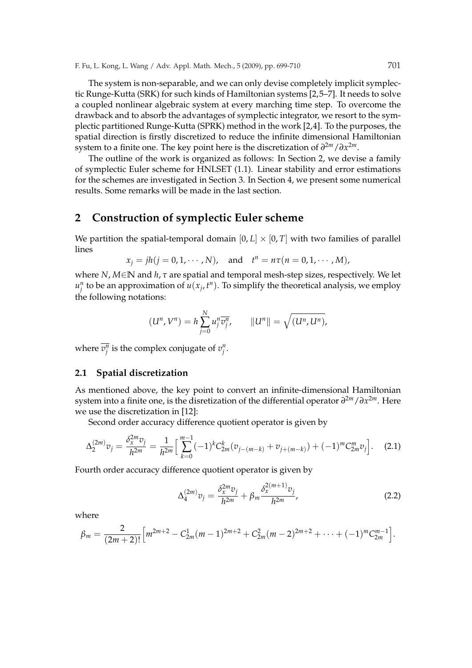F. Fu, L. Kong, L. Wang / Adv. Appl. Math. Mech., 5 (2009), pp. 699-710 701

The system is non-separable, and we can only devise completely implicit symplectic Runge-Kutta (SRK) for such kinds of Hamiltonian systems [2,5–7]. It needs to solve a coupled nonlinear algebraic system at every marching time step. To overcome the drawback and to absorb the advantages of symplectic integrator, we resort to the symplectic partitioned Runge-Kutta (SPRK) method in the work [2,4]. To the purposes, the spatial direction is firstly discretized to reduce the infinite dimensional Hamiltonian system to a finite one. The key point here is the discretization of  $\partial^{2m}/\partial x^{2m}$ .

The outline of the work is organized as follows: In Section 2, we devise a family of symplectic Euler scheme for HNLSET (1.1). Linear stability and error estimations for the schemes are investigated in Section 3. In Section 4, we present some numerical results. Some remarks will be made in the last section.

### **2 Construction of symplectic Euler scheme**

We partition the spatial-temporal domain  $[0, L] \times [0, T]$  with two families of parallel lines

$$
x_j = jh(j = 0, 1, \dots, N)
$$
, and  $t^n = n\tau(n = 0, 1, \dots, M)$ ,

where *N*, *M*∈**N** and *h*, *τ* are spatial and temporal mesh-step sizes, respectively. We let  $u_j^n$  to be an approximation of  $u(x_j, t^n)$ . To simplify the theoretical analysis, we employ the following notations:

$$
(U^n, V^n) = h \sum_{j=0}^N u_j^n \overline{v_j^n}, \qquad ||U^n|| = \sqrt{(U^n, U^n)},
$$

where  $\overline{v_j^n}$  is the complex conjugate of  $v_j^n$ .

#### **2.1 Spatial discretization**

As mentioned above, the key point to convert an infinite-dimensional Hamiltonian system into a finite one, is the disretization of the differential operator  $\partial^{2m}/\partial x^{2m}$ . Here we use the discretization in [12]:

Second order accuracy difference quotient operator is given by

$$
\Delta_2^{(2m)}v_j = \frac{\delta_x^{2m}v_j}{h^{2m}} = \frac{1}{h^{2m}} \left[ \sum_{k=0}^{m-1} (-1)^k C_{2m}^k (v_{j-(m-k)} + v_{j+(m-k)}) + (-1)^m C_{2m}^m v_j \right].
$$
 (2.1)

Fourth order accuracy difference quotient operator is given by

$$
\Delta_4^{(2m)}v_j = \frac{\delta_x^{2m}v_j}{h^{2m}} + \beta_m \frac{\delta_x^{2(m+1)}v_j}{h^{2m}},\tag{2.2}
$$

where

$$
\beta_m = \frac{2}{(2m+2)!} \Big[ m^{2m+2} - C_{2m}^1 (m-1)^{2m+2} + C_{2m}^2 (m-2)^{2m+2} + \cdots + (-1)^m C_{2m}^{m-1} \Big].
$$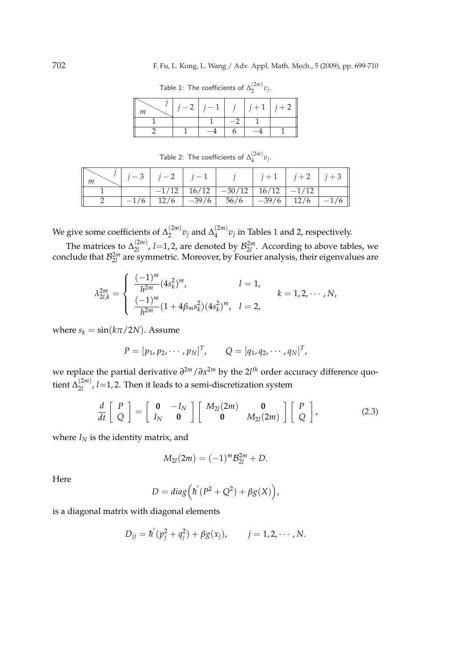Table 1: The coefficients of  $\Delta_2^{(2m)}v_j$ .

| — 2 | $1-1$ |  | $j+1$   $j+2$ |
|-----|-------|--|---------------|
|     |       |  |               |
|     |       |  |               |

Table 2: The coefficients of  $\Delta_4^{(2m)}$  $v_j^{(2m)}v_j$ .

|  |      | $\begin{array}{ c c c c c c c c } \hline & i-3 & j-2 & j-1 \\\hline \end{array}$ |                                              | $j \mid j+1 \mid j+2 \mid j+3 \mid$ |  |
|--|------|----------------------------------------------------------------------------------|----------------------------------------------|-------------------------------------|--|
|  |      |                                                                                  | $-1/12$   16/12   $-30/12$   16/12   $-1/12$ |                                     |  |
|  | 12/6 | $-39/6$                                                                          | 56/6                                         | $-39/6$   12/6                      |  |

We give some coefficients of  $\Delta_2^{(2m)}$  $\chi_2^{(2m)}$   $v_j$  and  $\Delta_4^{(2m)}$  $\int_4^{(2m)} v_j$  in Tables 1 and 2, respectively.

The matrices to  $\Delta_{2l}^{(2m)}$  $\binom{2m}{2l}$ , *l*=1,2, are denoted by  $\mathcal{B}_{2l}^{2m}$ . According to above tables, we conclude that  $\mathcal{B}_{2l}^{2m}$  are symmetric. Moreover, by Fourier analysis, their eigenvalues are

$$
\lambda_{2l,k}^{2m} = \begin{cases}\n\frac{(-1)^m}{h^{2m}} (4s_k^2)^m, & l = 1, \\
\frac{(-1)^m}{h^{2m}} (1 + 4\beta_m s_k^2) (4s_k^2)^m, & l = 2,\n\end{cases} \quad k = 1, 2, \cdots, N,
$$

where  $s_k = \sin(k\pi/2N)$ . Assume

$$
P = [p_1, p_2, \cdots, p_N]^T, \qquad Q = [q_1, q_2, \cdots, q_N]^T,
$$

 $\omega$  *we replace the partial derivative*  $\partial^{2m}/\partial x^{2m}$  *by the 2<i>l<sup>th</sup>* order accuracy difference quotient  $\Delta_{21}^{(2m)}$  $\binom{2m}{2l}$ , *l*=1, 2. Then it leads to a semi-discretization system

$$
\frac{d}{dt}\left[\begin{array}{c} P \\ Q \end{array}\right] = \left[\begin{array}{cc} \mathbf{0} & -I_N \\ I_N & \mathbf{0} \end{array}\right] \left[\begin{array}{cc} M_{2l}(2m) & \mathbf{0} \\ \mathbf{0} & M_{2l}(2m) \end{array}\right] \left[\begin{array}{c} P \\ Q \end{array}\right],
$$
(2.3)

where  $I_N$  is the identity matrix, and

$$
M_{2l}(2m) = (-1)^m \mathcal{B}_{2l}^{2m} + D.
$$

Here

$$
D = diag(\hbar'(P^2 + Q^2) + \beta g(X)),
$$

is a diagonal matrix with diagonal elements

$$
D_{jj} = \hbar' (p_j^2 + q_j^2) + \beta g(x_j), \qquad j = 1, 2, \cdots, N.
$$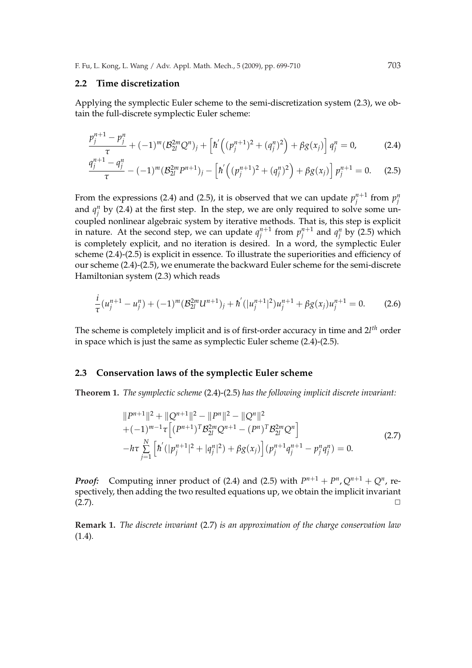#### **2.2 Time discretization**

Applying the symplectic Euler scheme to the semi-discretization system (2.3), we obtain the full-discrete symplectic Euler scheme:

$$
\frac{p_j^{n+1} - p_j^n}{\tau} + (-1)^m (\mathcal{B}_{2l}^{2m} Q^n)_j + \left[ \hbar' \left( (p_j^{n+1})^2 + (q_j^n)^2 \right) + \beta g(x_j) \right] q_j^n = 0, \tag{2.4}
$$

$$
\frac{q_j^{n+1} - q_j^n}{\tau} - (-1)^m (B_{2l}^{2m} P^{n+1})_j - \left[ \hbar' \left( (p_j^{n+1})^2 + (q_j^n)^2 \right) + \beta g(x_j) \right] p_j^{n+1} = 0. \tag{2.5}
$$

From the expressions (2.4) and (2.5), it is observed that we can update  $p_i^{n+1}$  $\sum_{j}^{n+1}$  from  $p_j^n$ and  $q_i^n$  by (2.4) at the first step. In the step, we are only required to solve some uncoupled nonlinear algebraic system by iterative methods. That is, this step is explicit in nature. At the second step, we can update  $q_i^{n+1}$  $\prod_{j}^{n+1}$  from  $p_j^{n+1}$  $j^{n+1}$  and  $q_j^n$  by (2.5) which is completely explicit, and no iteration is desired. In a word, the symplectic Euler scheme (2.4)-(2.5) is explicit in essence. To illustrate the superiorities and efficiency of our scheme (2.4)-(2.5), we enumerate the backward Euler scheme for the semi-discrete Hamiltonian system (2.3) which reads

$$
\frac{i}{\tau}(u_j^{n+1} - u_j^n) + (-1)^m (B_{2l}^{2m} U^{n+1})_j + \hbar' (|u_j^{n+1}|^2) u_j^{n+1} + \beta g(x_j) u_j^{n+1} = 0.
$$
 (2.6)

The scheme is completely implicit and is of first-order accuracy in time and 2*l th* order in space which is just the same as symplectic Euler scheme (2.4)-(2.5).

#### **2.3 Conservation laws of the symplectic Euler scheme**

**Theorem 1.** *The symplectic scheme* (2.4)-(2.5) *has the following implicit discrete invariant:*

$$
||P^{n+1}||^2 + ||Q^{n+1}||^2 - ||P^n||^2 - ||Q^n||^2
$$
  
+  $(-1)^{m-1}\tau \Big[ (P^{n+1})^T \mathcal{B}_{2l}^{2m} Q^{n+1} - (P^n)^T \mathcal{B}_{2l}^{2m} Q^n \Big]$   
-  $h\tau \sum_{j=1}^N \Big[ \hbar' (|p_j^{n+1}|^2 + |q_j^n|^2) + \beta g(x_j) \Big] (p_j^{n+1} q_j^{n+1} - p_j^n q_j^n) = 0.$  (2.7)

*Proof:* Computing inner product of (2.4) and (2.5) with  $P^{n+1} + P^n$ ,  $Q^{n+1} + Q^n$ , respectively, then adding the two resulted equations up, we obtain the implicit invariant  $(2.7)$ .

**Remark 1.** *The discrete invariant* (2.7) *is an approximation of the charge conservation law* (1.4)*.*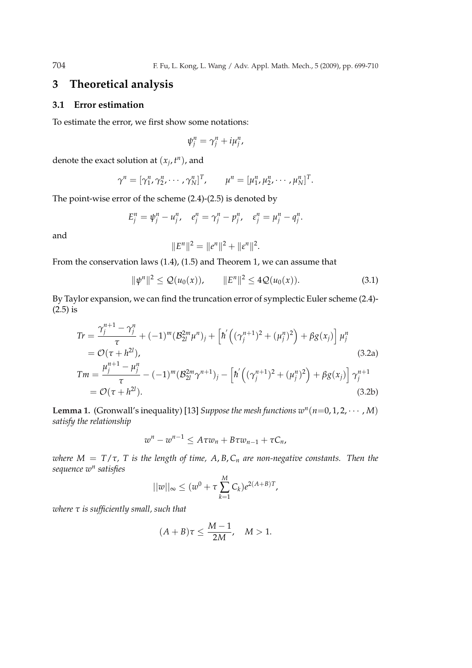## **3 Theoretical analysis**

#### **3.1 Error estimation**

To estimate the error, we first show some notations:

$$
\psi_i^n = \gamma_i^n + i\mu_i^n,
$$

denote the exact solution at  $(x_j, t^n)$ , and

$$
\gamma^{n} = [\gamma_{1}^{n}, \gamma_{2}^{n}, \cdots, \gamma_{N}^{n}]^{T}, \qquad \mu^{n} = [\mu_{1}^{n}, \mu_{2}^{n}, \cdots, \mu_{N}^{n}]^{T}.
$$

The point-wise error of the scheme (2.4)-(2.5) is denoted by

$$
E_j^n = \psi_j^n - u_j^n, \quad e_j^n = \gamma_j^n - p_j^n, \quad \varepsilon_j^n = \mu_j^n - q_j^n.
$$

and

$$
||E^n||^2 = ||e^n||^2 + ||\varepsilon^n||^2.
$$

From the conservation laws (1.4), (1.5) and Theorem 1, we can assume that

$$
\|\psi^n\|^2 \le \mathcal{Q}(u_0(x)), \qquad \|E^n\|^2 \le 4\mathcal{Q}(u_0(x)). \tag{3.1}
$$

By Taylor expansion, we can find the truncation error of symplectic Euler scheme (2.4)- (2.5) is

$$
Tr = \frac{\gamma_j^{n+1} - \gamma_j^n}{\tau} + (-1)^m (B_{2l}^{2m} \mu^n)_j + \left[ \hbar' \left( (\gamma_j^{n+1})^2 + (\mu_j^n)^2 \right) + \beta g(x_j) \right] \mu_j^n
$$
  
=  $\mathcal{O}(\tau + h^{2l}),$   

$$
Tm = \frac{\mu_j^{n+1} - \mu_j^n}{\tau} - (-1)^m (B_{2l}^{2m} \gamma^{n+1})_j - \left[ \hbar' \left( (\gamma_j^{n+1})^2 + (\mu_j^n)^2 \right) + \beta g(x_j) \right] \gamma_j^{n+1}
$$
  
=  $\mathcal{O}(\tau + h^{2l}).$  (3.2b)

**Lemma 1.** (Gronwall's inequality) [13] *Suppose the mesh functions*  $w^n(n=0,1,2,\dots,M)$ *satisfy the relationship*

$$
w^n - w^{n-1} \leq A \tau w_n + B \tau w_{n-1} + \tau C_n,
$$

*where*  $M = T/\tau$ , *T is the length of time, A, B, C<sub>n</sub> are non-negative constants. Then the sequence w n satisfies*

$$
||w||_{\infty} \le (w^0 + \tau \sum_{k=1}^{M} C_k) e^{2(A+B)T},
$$

*where τ is sufficiently small, such that*

$$
(A+B)\tau \le \frac{M-1}{2M}, \quad M > 1.
$$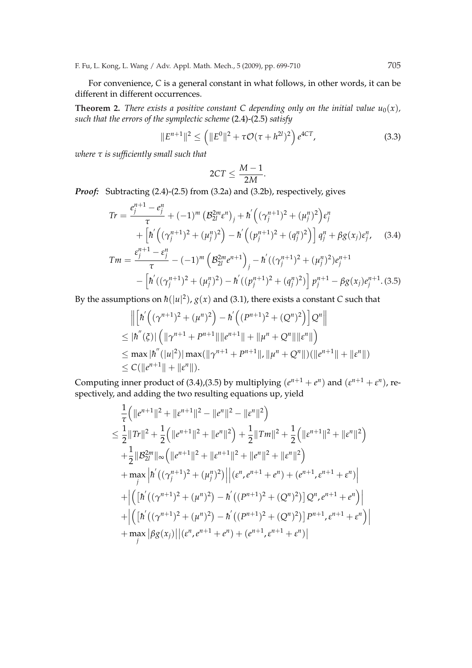For convenience, *C* is a general constant in what follows, in other words, it can be different in different occurrences.

**Theorem 2.** *There exists a positive constant C depending only on the initial value*  $u_0(x)$ *, such that the errors of the symplectic scheme* (2.4)-(2.5) *satisfy*

$$
||E^{n+1}||^2 \le (||E^0||^2 + \tau \mathcal{O}(\tau + h^{2l})^2) e^{4CT}, \qquad (3.3)
$$

*where τ is sufficiently small such that*

$$
2CT \leq \frac{M-1}{2M}.
$$

*Proof:* Subtracting (2.4)-(2.5) from (3.2a) and (3.2b), respectively, gives

$$
Tr = \frac{e_j^{n+1} - e_j^n}{\tau} + (-1)^m \left( \mathcal{B}_{2l}^{2m} \varepsilon^n \right)_j + \hbar' \left( (\gamma_j^{n+1})^2 + (\mu_j^n)^2 \right) \varepsilon_j^n
$$
  
+ 
$$
\left[ \hbar' \left( (\gamma_j^{n+1})^2 + (\mu_j^n)^2 \right) - \hbar' \left( (\rho_j^{n+1})^2 + (\rho_j^n)^2 \right) \right] q_j^n + \beta g(x_j) \varepsilon_j^n, \quad (3.4)
$$
  

$$
Tm = \frac{\varepsilon_j^{n+1} - \varepsilon_j^n}{\tau} - (-1)^m \left( \mathcal{B}_{2l}^{2m} e^{n+1} \right)_j - \hbar' \left( (\gamma_j^{n+1})^2 + (\mu_j^n)^2 \right) e_j^{n+1}
$$
  
- 
$$
\left[ \hbar' \left( (\gamma_j^{n+1})^2 + (\mu_j^n)^2 \right) - \hbar' \left( (\rho_j^{n+1})^2 + (\rho_j^n)^2 \right) \right] p_j^{n+1} - \beta g(x_j) e_j^{n+1}. \quad (3.5)
$$

By the assumptions on  $\hbar(|u|^2)$ ,  $g(x)$  and (3.1), there exists a constant *C* such that

$$
\|\left[\hbar'((\gamma^{n+1})^2 + (\mu^n)^2) - \hbar'((P^{n+1})^2 + (Q^n)^2)\right]Q^n\|
$$
  
\n
$$
\leq |\hbar''(\xi)| \left(\|\gamma^{n+1} + P^{n+1}\|\|e^{n+1}\| + \|\mu^n + Q^n\|\|e^n\|\right)
$$
  
\n
$$
\leq \max |\hbar''(|u|^2) |\max(\|\gamma^{n+1} + P^{n+1}\|, \|\mu^n + Q^n\|)(\|e^{n+1}\| + \|e^n\|)
$$
  
\n
$$
\leq C(\|e^{n+1}\| + \|e^n\|).
$$

Computing inner product of (3.4),(3.5) by multiplying  $(e^{n+1} + e^n)$  and  $(e^{n+1} + e^n)$ , respectively, and adding the two resulting equations up, yield

$$
\frac{1}{\tau} (||e^{n+1}||^2 + ||e^{n+1}||^2 - ||e^n||^2 - ||e^n||^2)
$$
\n
$$
\leq \frac{1}{2} ||Tr||^2 + \frac{1}{2} (||e^{n+1}||^2 + ||e^n||^2) + \frac{1}{2} ||Tr||^2 + \frac{1}{2} (||e^{n+1}||^2 + ||e^n||^2)
$$
\n
$$
+ \frac{1}{2} ||B_{2l}^{2m}||_{\infty} (||e^{n+1}||^2 + ||e^{n+1}||^2 + ||e^n||^2 + ||e^n||^2)
$$
\n
$$
+ \max_{j} |h'((\gamma_j^{n+1})^2 + (\mu_j^n)^2) ||(e^n, e^{n+1} + e^n) + (e^{n+1}, e^{n+1} + e^n) |
$$
\n
$$
+ |([h'((\gamma^{n+1})^2 + (\mu^n)^2) - h'((P^{n+1})^2 + (Q^n)^2)]Q^n, e^{n+1} + e^n)|
$$
\n
$$
+ |([h'((\gamma^{n+1})^2 + (\mu^n)^2) - h'((P^{n+1})^2 + (Q^n)^2)]P^{n+1}, e^{n+1} + e^n)|
$$
\n
$$
+ \max_{j} |\beta g(x_j)||(e^n, e^{n+1} + e^n) + (e^{n+1}, e^{n+1} + e^n)|
$$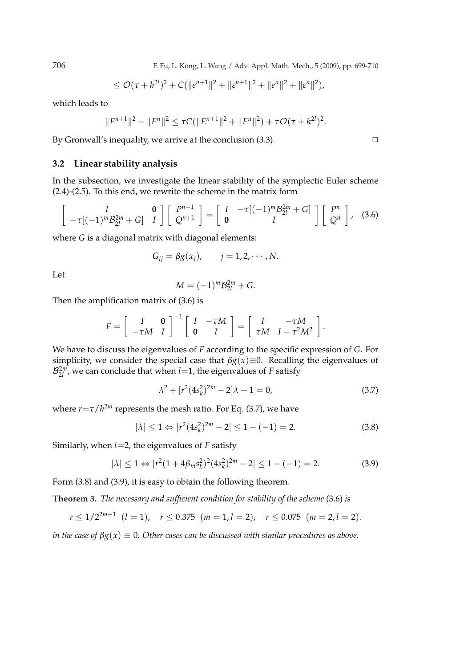706 F. Fu, L. Kong, L. Wang / Adv. Appl. Math. Mech., 5 (2009), pp. 699-710

$$
\leq \mathcal{O}(\tau+h^{2l})^2+C(\|e^{n+1}\|^2+\|e^{n+1}\|^2+\|e^n\|^2+\|e^n\|^2),
$$

which leads to

$$
||E^{n+1}||^2 - ||E^n||^2 \le \tau C(||E^{n+1}||^2 + ||E^n||^2) + \tau \mathcal{O}(\tau + h^{2l})^2.
$$

By Gronwall's inequality, we arrive at the conclusion  $(3.3)$ .

#### **3.2 Linear stability analysis**

In the subsection, we investigate the linear stability of the symplectic Euler scheme (2.4)-(2.5). To this end, we rewrite the scheme in the matrix form

$$
\begin{bmatrix} I & \mathbf{0} \\ -\tau[(-1)^m \mathcal{B}_{2l}^{2m} + G] & I \end{bmatrix} \begin{bmatrix} P^{n+1} \\ Q^{n+1} \end{bmatrix} = \begin{bmatrix} I & -\tau[(-1)^m \mathcal{B}_{2l}^{2m} + G] \\ \mathbf{0} & I \end{bmatrix} \begin{bmatrix} P^n \\ Q^n \end{bmatrix}, \quad (3.6)
$$

where *G* is a diagonal matrix with diagonal elements:

$$
G_{jj} = \beta g(x_j), \qquad j = 1, 2, \cdots, N.
$$

Let

$$
M = (-1)^m \mathcal{B}_{2l}^{2m} + G.
$$

Then the amplification matrix of (3.6) is

$$
F = \left[ \begin{array}{cc} I & \mathbf{0} \\ -\tau M & I \end{array} \right]^{-1} \left[ \begin{array}{cc} I & -\tau M \\ \mathbf{0} & I \end{array} \right] = \left[ \begin{array}{cc} I & -\tau M \\ \tau M & I - \tau^2 M^2 \end{array} \right].
$$

We have to discuss the eigenvalues of *F* according to the specific expression of *G*. For simplicity, we consider the special case that  $\beta g(x) \equiv 0$ . Recalling the eigenvalues of  $\mathcal{B}_{2l}^{2m}$ , we can conclude that when *l*=1, the eigenvalues of *F* satisfy

$$
\lambda^2 + [r^2(4s_k^2)^{2m} - 2]\lambda + 1 = 0,\tag{3.7}
$$

where  $r = \tau / h^{2m}$  represents the mesh ratio. For Eq. (3.7), we have

$$
|\lambda| \le 1 \Leftrightarrow |r^2(4s_k^2)^{2m} - 2| \le 1 - (-1) = 2. \tag{3.8}
$$

Similarly, when  $l=2$ , the eigenvalues of  $F$  satisfy

$$
|\lambda| \le 1 \Leftrightarrow |r^2(1 + 4\beta_m s_k^2)^2 (4s_k^2)^{2m} - 2| \le 1 - (-1) = 2. \tag{3.9}
$$

Form (3.8) and (3.9), it is easy to obtain the following theorem.

**Theorem 3.** *The necessary and sufficient condition for stability of the scheme* (3.6) *is*

$$
r \le 1/2^{2m-1} \ (l=1), \quad r \le 0.375 \ (m=1, l=2), \quad r \le 0.075 \ (m=2, l=2).
$$

*in the case of*  $\beta g(x) \equiv 0$ . Other cases can be discussed with similar procedures as above.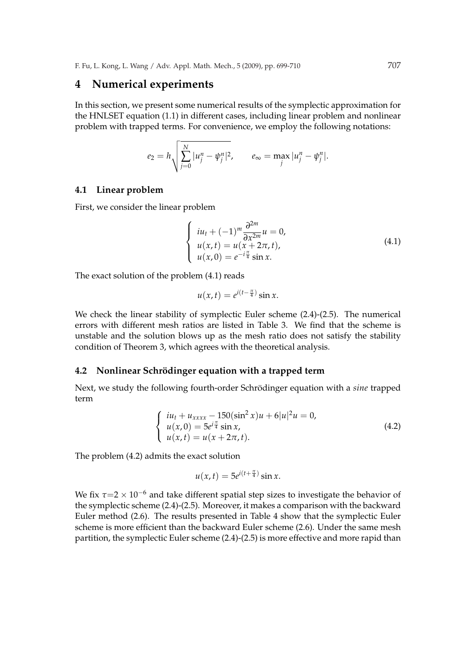## **4 Numerical experiments**

In this section, we present some numerical results of the symplectic approximation for the HNLSET equation (1.1) in different cases, including linear problem and nonlinear problem with trapped terms. For convenience, we employ the following notations:

$$
e_2 = h \sqrt{\sum_{j=0}^{N} |u_j^n - \psi_j^n|^2}, \qquad e_{\infty} = \max_j |u_j^n - \psi_j^n|.
$$

#### **4.1 Linear problem**

First, we consider the linear problem

$$
\begin{cases}\n iu_t + (-1)^m \frac{\partial^{2m}}{\partial x^{2m}} u = 0, \\
 u(x,t) = u(x+2\pi, t), \\
 u(x, 0) = e^{-i\frac{\pi}{4}} \sin x.\n\end{cases}
$$
\n(4.1)

The exact solution of the problem (4.1) reads

$$
u(x,t) = e^{i(t-\frac{\pi}{4})}\sin x.
$$

We check the linear stability of symplectic Euler scheme (2.4)-(2.5). The numerical errors with different mesh ratios are listed in Table 3. We find that the scheme is unstable and the solution blows up as the mesh ratio does not satisfy the stability condition of Theorem 3, which agrees with the theoretical analysis.

#### **4.2 Nonlinear Schrödinger equation with a trapped term**

Next, we study the following fourth-order Schrödinger equation with a *sine* trapped term

$$
\begin{cases}\n iu_t + u_{xxxx} - 150(\sin^2 x)u + 6|u|^2 u = 0, \\
 u(x, 0) = 5e^{i\frac{\pi}{4}} \sin x, \\
 u(x, t) = u(x + 2\pi, t).\n\end{cases}
$$
\n(4.2)

The problem (4.2) admits the exact solution

$$
u(x,t) = 5e^{i(t+\frac{\pi}{4})}\sin x.
$$

We fix  $\tau$ =2 × 10<sup>-6</sup> and take different spatial step sizes to investigate the behavior of the symplectic scheme (2.4)-(2.5). Moreover, it makes a comparison with the backward Euler method (2.6). The results presented in Table 4 show that the symplectic Euler scheme is more efficient than the backward Euler scheme (2.6). Under the same mesh partition, the symplectic Euler scheme (2.4)-(2.5) is more effective and more rapid than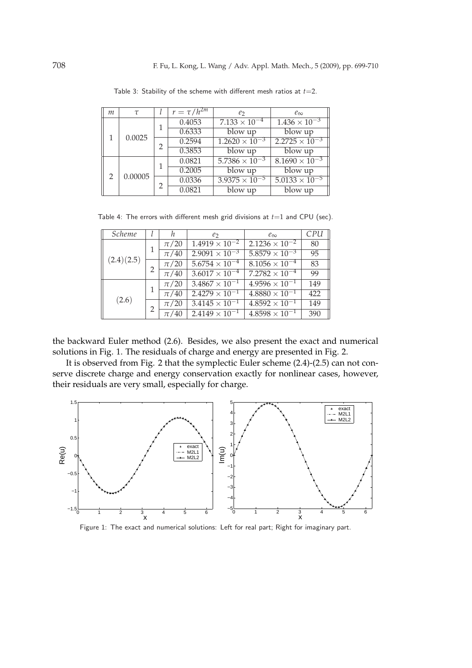| m | $\tau$  |   | $r = \tau/h^{2m}$ | e <sub>2</sub>          | $e_{\infty}$                      |
|---|---------|---|-------------------|-------------------------|-----------------------------------|
|   | 0.0025  |   | 0.4053            | $7.133 \times 10^{-4}$  | $1.436 \times 10^{-3}$            |
|   |         |   | 0.6333            | blow up                 | blow up                           |
|   |         | 2 | 0.2594            | $1.2620 \times 10^{-3}$ | $2.2725 \times 10^{-3}$           |
|   |         |   | 0.3853            | blow up                 | blow up                           |
|   |         |   | 0.0821            | $5.7386 \times 10^{-3}$ | $8.1690 \times 10^{-3}$           |
|   |         |   | 0.2005            | blow up                 | blow up                           |
| 2 | 0.00005 |   | 0.0336            | $3.9375 \times 10^{-5}$ | $\frac{5.0133 \times 10^{-5}}{2}$ |
|   |         |   | 0.0821            | blow up                 | $\overline{bl}$ ow up             |

Table 3: Stability of the scheme with different mesh ratios at *t*=2.

Table 4: The errors with different mesh grid divisions at  $t=1$  and CPU (sec).

| <i>Scheme</i> |  | h.       | e <sub>2</sub>                     | $e_{\infty}$            | CPU |
|---------------|--|----------|------------------------------------|-------------------------|-----|
| (2.4)(2.5)    |  | $\pi/20$ | $1.4919 \times 10^{-2}$            | $2.1236 \times 10^{-2}$ | 80  |
|               |  | $\pi/40$ | $2.9091 \times 10^{-3}$            | $5.8579 \times 10^{-3}$ | 95  |
|               |  | $\pi/20$ | $5.6754 \times 10^{-4}$            | $8.1056 \times 10^{-4}$ | 83  |
|               |  | $\pi/40$ | $3.6017 \times 10^{-4}$            | $7.2782 \times 10^{-4}$ | 99  |
| (2.6)         |  | $\pi/20$ | $3.4867 \times 10^{-1}$            | $4.9596 \times 10^{-1}$ | 149 |
|               |  | $\pi/40$ | $2.4279 \times 10^{-1}$            | $4.8880 \times 10^{-1}$ | 422 |
|               |  | $\pi/20$ | $3.\overline{4145 \times 10^{-1}}$ | $4.8592 \times 10^{-1}$ | 149 |
|               |  | $\pi/40$ | $2.4149 \times 10^{-1}$            | $4.8598 \times 10^{-1}$ | 390 |

the backward Euler method (2.6). Besides, we also present the exact and numerical solutions in Fig. 1. The residuals of charge and energy are presented in Fig. 2.

It is observed from Fig. 2 that the symplectic Euler scheme (2.4)-(2.5) can not conserve discrete charge and energy conservation exactly for nonlinear cases, however, their residuals are very small, especially for charge.



Figure 1: The exact and numerical solutions: Left for real part; Right for imaginary part.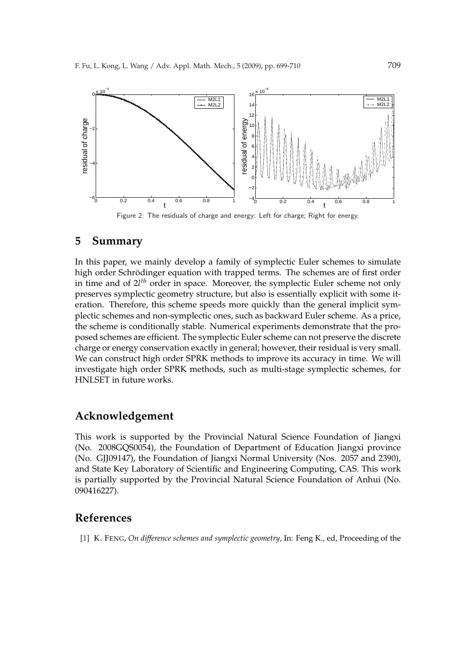

Figure 2: The residuals of charge and energy: Left for charge; Right for energy.

## **5 Summary**

In this paper, we mainly develop a family of symplectic Euler schemes to simulate high order Schrödinger equation with trapped terms. The schemes are of first order in time and of 2*l th* order in space. Moreover, the symplectic Euler scheme not only preserves symplectic geometry structure, but also is essentially explicit with some iteration. Therefore, this scheme speeds more quickly than the general implicit symplectic schemes and non-symplectic ones, such as backward Euler scheme. As a price, the scheme is conditionally stable. Numerical experiments demonstrate that the proposed schemes are efficient. The symplectic Euler scheme can not preserve the discrete charge or energy conservation exactly in general; however, their residual is very small. We can construct high order SPRK methods to improve its accuracy in time. We will investigate high order SPRK methods, such as multi-stage symplectic schemes, for HNLSET in future works.

# **Acknowledgement**

This work is supported by the Provincial Natural Science Foundation of Jiangxi (No. 2008GQS0054), the Foundation of Department of Education Jiangxi province (No. GJJ09147), the Foundation of Jiangxi Normal University (Nos. 2057 and 2390), and State Key Laboratory of Scientific and Engineering Computing, CAS. This work is partially supported by the Provincial Natural Science Foundation of Anhui (No. 090416227).

## **References**

[1] K. FENG, *On difference schemes and symplectic geometry*, In: Feng K., ed, Proceeding of the